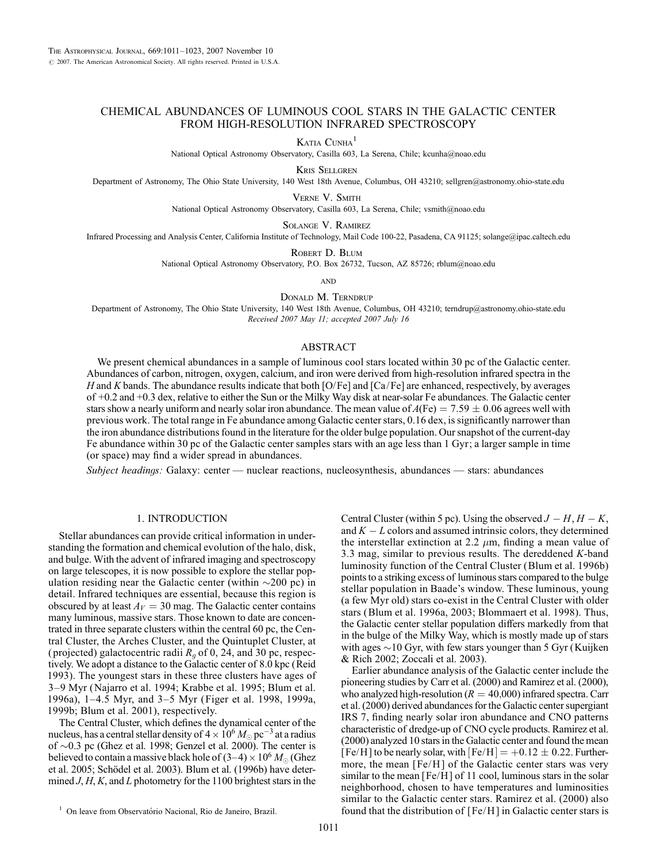# CHEMICAL ABUNDANCES OF LUMINOUS COOL STARS IN THE GALACTIC CENTER FROM HIGH-RESOLUTION INFRARED SPECTROSCOPY

KATIA CUNHA<sup>1</sup>

National Optical Astronomy Observatory, Casilla 603, La Serena, Chile; kcunha@noao.edu

Kris Sellgren

Department of Astronomy, The Ohio State University, 140 West 18th Avenue, Columbus, OH 43210; sellgren@astronomy.ohio-state.edu

Verne V. Smith

National Optical Astronomy Observatory, Casilla 603, La Serena, Chile; vsmith@noao.edu

Solange V. Ramirez

Infrared Processing and Analysis Center, California Institute of Technology, Mail Code 100-22, Pasadena, CA 91125; solange@ipac.caltech.edu

ROBERT D. BLUM

National Optical Astronomy Observatory, P.O. Box 26732, Tucson, AZ 85726; rblum@noao.edu

**AND** 

DONALD M. TERNDRUP

Department of Astronomy, The Ohio State University, 140 West 18th Avenue, Columbus, OH 43210; terndrup@astronomy.ohio-state.edu Received 2007 May 11; accepted 2007 July 16

#### ABSTRACT

We present chemical abundances in a sample of luminous cool stars located within 30 pc of the Galactic center. Abundances of carbon, nitrogen, oxygen, calcium, and iron were derived from high-resolution infrared spectra in the H and K bands. The abundance results indicate that both  $[O/Fe]$  and  $[Ca/Fe]$  are enhanced, respectively, by averages of +0.2 and +0.3 dex, relative to either the Sun or the Milky Way disk at near-solar Fe abundances. The Galactic center stars show a nearly uniform and nearly solar iron abundance. The mean value of  $A$ (Fe) = 7.59  $\pm$  0.06 agrees well with previous work. The total range in Fe abundance among Galactic center stars, 0.16 dex, is significantly narrower than the iron abundance distributions found in the literature for the older bulge population. Our snapshot of the current-day Fe abundance within 30 pc of the Galactic center samples stars with an age less than 1 Gyr; a larger sample in time (or space) may find a wider spread in abundances.

Subject headinggs: Galaxy: center — nuclear reactions, nucleosynthesis, abundances — stars: abundances

## 1. INTRODUCTION

Stellar abundances can provide critical information in understanding the formation and chemical evolution of the halo, disk, and bulge. With the advent of infrared imaging and spectroscopy on large telescopes, it is now possible to explore the stellar population residing near the Galactic center (within  $\sim$ 200 pc) in detail. Infrared techniques are essential, because this region is obscured by at least  $A_V = 30$  mag. The Galactic center contains many luminous, massive stars. Those known to date are concentrated in three separate clusters within the central 60 pc, the Central Cluster, the Arches Cluster, and the Quintuplet Cluster, at ( projected) galactocentric radii  $R<sub>a</sub>$  of 0, 24, and 30 pc, respectively. We adopt a distance to the Galactic center of 8.0 kpc (Reid 1993). The youngest stars in these three clusters have ages of 3-9 Myr (Najarro et al. 1994; Krabbe et al. 1995; Blum et al. 1996a), 1-4.5 Myr, and 3-5 Myr (Figer et al. 1998, 1999a, 1999b; Blum et al. 2001), respectively.

The Central Cluster, which defines the dynamical center of the nucleus, has a central stellar density of  $4 \times 10^6 M_{\odot}$  pc<sup>-3</sup> at a radius of  $\sim$ 0.3 pc (Ghez et al. 1998; Genzel et al. 2000). The center is believed to contain a massive black hole of  $(3-4) \times 10^6 M_{\odot}$  (Ghez et al. 2005; Schödel et al. 2003). Blum et al. (1996b) have determined  $J, H, K$ , and  $L$  photometry for the 1100 brightest stars in the Central Cluster (within 5 pc). Using the observed  $J - H, H - K$ , and  $K - L$  colors and assumed intrinsic colors, they determined the interstellar extinction at 2.2  $\mu$ m, finding a mean value of 3.3 mag, similar to previous results. The dereddened  $K$ -band luminosity function of the Central Cluster (Blum et al. 1996b) points to a striking excess of luminous stars compared to the bulge stellar population in Baade's window. These luminous, young (a few Myr old) stars co-exist in the Central Cluster with older stars (Blum et al. 1996a, 2003; Blommaert et al. 1998). Thus, the Galactic center stellar population differs markedly from that in the bulge of the Milky Way, which is mostly made up of stars with ages  $\sim$  10 Gyr, with few stars younger than 5 Gyr (Kuijken & Rich 2002; Zoccali et al. 2003).

Earlier abundance analysis of the Galactic center include the pioneering studies by Carr et al. (2000) and Ramirez et al. (2000), who analyzed high-resolution ( $R = 40,000$ ) infrared spectra. Carr et al. (2000) derived abundances for the Galactic center supergiant IRS 7, finding nearly solar iron abundance and CNO patterns characteristic of dredge-up of CNO cycle products. Ramirez et al. (2000) analyzed 10 stars in the Galactic center and found the mean [Fe/H] to be nearly solar, with  $[Fe/H] = +0.12 \pm 0.22$ . Furthermore, the mean  $[Fe/H]$  of the Galactic center stars was very similar to the mean  $[Fe/H]$  of 11 cool, luminous stars in the solar neighborhood, chosen to have temperatures and luminosities similar to the Galactic center stars. Ramirez et al. (2000) also <sup>1</sup> On leave from Observatório Nacional, Rio de Janeiro, Brazil. **1 Conservatorial found that the distribution of**  $[Fe/H]$  **in Galactic center stars is**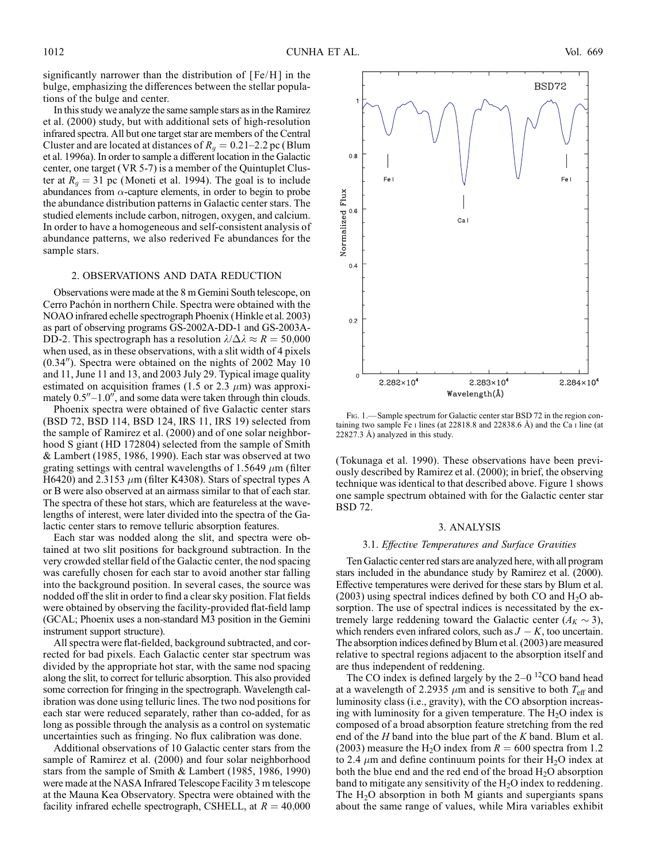significantly narrower than the distribution of  $[Fe/H]$  in the bulge, emphasizing the differences between the stellar populations of the bulge and center.

In this study we analyze the same sample stars as in the Ramirez et al. (2000) study, but with additional sets of high-resolution infrared spectra. All but one target star are members of the Central Cluster and are located at distances of  $R<sub>q</sub> = 0.21-2.2$  pc (Blum et al. 1996a). In order to sample a different location in the Galactic center, one target (VR 5-7) is a member of the Quintuplet Cluster at  $R_q = 31$  pc (Moneti et al. 1994). The goal is to include abundances from  $\alpha$ -capture elements, in order to begin to probe the abundance distribution patterns in Galactic center stars. The studied elements include carbon, nitrogen, oxygen, and calcium. In order to have a homogeneous and self-consistent analysis of abundance patterns, we also rederived Fe abundances for the sample stars.

#### 2. OBSERVATIONS AND DATA REDUCTION

Observations were made at the 8 m Gemini South telescope, on Cerro Pachón in northern Chile. Spectra were obtained with the NOAO infrared echelle spectrograph Phoenix (Hinkle et al. 2003) as part of observing programs GS-2002A-DD-1 and GS-2003A-DD-2. This spectrograph has a resolution  $\lambda/\Delta\lambda \approx R = 50,000$ when used, as in these observations, with a slit width of 4 pixels  $(0.34)$ . Spectra were obtained on the nights of 2002 May 10 and 11, June 11 and 13, and 2003 July 29. Typical image quality estimated on acquisition frames (1.5 or 2.3  $\mu$ m) was approximately  $0.5'' - 1.0''$ , and some data were taken through thin clouds.

Phoenix spectra were obtained of five Galactic center stars (BSD 72, BSD 114, BSD 124, IRS 11, IRS 19) selected from the sample of Ramirez et al. (2000) and of one solar neighborhood S giant (HD 172804) selected from the sample of Smith & Lambert (1985, 1986, 1990). Each star was observed at two grating settings with central wavelengths of 1.5649  $\mu$ m (filter H6420) and 2.3153  $\mu$ m (filter K4308). Stars of spectral types A or B were also observed at an airmass similar to that of each star. The spectra of these hot stars, which are featureless at the wavelengths of interest, were later divided into the spectra of the Galactic center stars to remove telluric absorption features.

Each star was nodded along the slit, and spectra were obtained at two slit positions for background subtraction. In the very crowded stellar field of the Galactic center, the nod spacing was carefully chosen for each star to avoid another star falling into the background position. In several cases, the source was nodded off the slit in order to find a clear sky position. Flat fields were obtained by observing the facility-provided flat-field lamp (GCAL; Phoenix uses a non-standard M3 position in the Gemini instrument support structure).

All spectra were flat-fielded, background subtracted, and corrected for bad pixels. Each Galactic center star spectrum was divided by the appropriate hot star, with the same nod spacing along the slit, to correct for telluric absorption. This also provided some correction for fringing in the spectrograph. Wavelength calibration was done using telluric lines. The two nod positions for each star were reduced separately, rather than co-added, for as long as possible through the analysis as a control on systematic uncertainties such as fringing. No flux calibration was done.

Additional observations of 10 Galactic center stars from the sample of Ramirez et al. (2000) and four solar neighborhood stars from the sample of Smith & Lambert (1985, 1986, 1990) were made at the NASA Infrared Telescope Facility 3 m telescope at the Mauna Kea Observatory. Spectra were obtained with the facility infrared echelle spectrograph, CSHELL, at  $R = 40,000$ 

Fig. 1.—Sample spectrum for Galactic center star BSD 72 in the region containing two sample Fe  $\scriptstyle\rm I$  lines (at 22818.8 and 22838.6 Å) and the Ca  $\scriptstyle\rm I$  line (at  $22827.3$  Å) analyzed in this study.

(Tokunaga et al. 1990). These observations have been previously described by Ramirez et al. (2000); in brief, the observing technique was identical to that described above. Figure 1 shows one sample spectrum obtained with for the Galactic center star BSD 72.

### 3. ANALYSIS

#### 3.1. Effective Temperatures and Surface Gravities

Ten Galactic center red stars are analyzed here, with all program stars included in the abundance study by Ramirez et al. (2000). Effective temperatures were derived for these stars by Blum et al.  $(2003)$  using spectral indices defined by both CO and H<sub>2</sub>O absorption. The use of spectral indices is necessitated by the extremely large reddening toward the Galactic center ( $A_K \sim 3$ ), which renders even infrared colors, such as  $J - K$ , too uncertain. The absorption indices defined by Blum et al. (2003) are measured relative to spectral regions adjacent to the absorption itself and are thus independent of reddening.

The CO index is defined largely by the  $2-0$  <sup>12</sup>CO band head at a wavelength of 2.2935  $\mu$ m and is sensitive to both  $T_{\text{eff}}$  and luminosity class (i.e., gravity), with the CO absorption increasing with luminosity for a given temperature. The  $H_2O$  index is composed of a broad absorption feature stretching from the red end of the H band into the blue part of the K band. Blum et al. (2003) measure the H<sub>2</sub>O index from  $R = 600$  spectra from 1.2 to 2.4  $\mu$ m and define continuum points for their H<sub>2</sub>O index at both the blue end and the red end of the broad  $H_2O$  absorption band to mitigate any sensitivity of the  $H_2O$  index to reddening. The  $H_2O$  absorption in both M giants and supergiants spans about the same range of values, while Mira variables exhibit

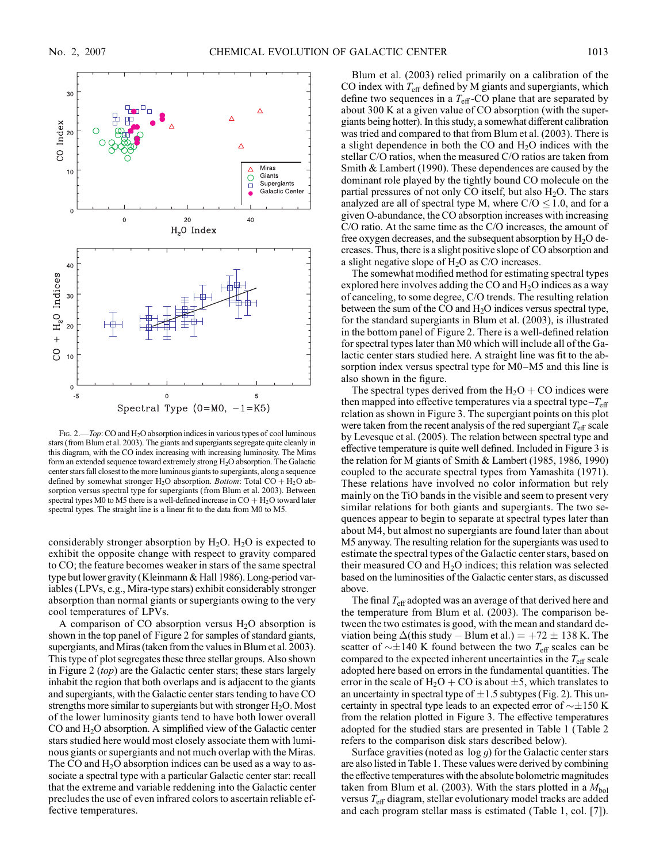

FIG. 2.—Top: CO and H<sub>2</sub>O absorption indices in various types of cool luminous stars (from Blum et al. 2003). The giants and supergiants segregate quite cleanly in this diagram, with the CO index increasing with increasing luminosity. The Miras form an extended sequence toward extremely strong H<sub>2</sub>O absorption. The Galactic center stars fall closest to the more luminous giants to supergiants, along a sequence defined by somewhat stronger  $H_2O$  absorption. Bottom: Total  $CO + H_2O$  absorption versus spectral type for supergiants (from Blum et al. 2003). Between spectral types M0 to M5 there is a well-defined increase in  $CO + H<sub>2</sub>O$  toward later spectral types. The straight line is a linear fit to the data from M0 to M5.

considerably stronger absorption by  $H_2O$ .  $H_2O$  is expected to exhibit the opposite change with respect to gravity compared to CO; the feature becomes weaker in stars of the same spectral type but lower gravity (Kleinmann & Hall 1986). Long-period variables (LPVs, e.g., Mira-type stars) exhibit considerably stronger absorption than normal giants or supergiants owing to the very cool temperatures of LPVs.

A comparison of CO absorption versus  $H<sub>2</sub>O$  absorption is shown in the top panel of Figure 2 for samples of standard giants, supergiants, and Miras (taken from the values in Blum et al. 2003). This type of plot segregates these three stellar groups. Also shown in Figure 2 (top) are the Galactic center stars; these stars largely inhabit the region that both overlaps and is adjacent to the giants and supergiants, with the Galactic center stars tending to have CO strengths more similar to supergiants but with stronger  $H_2O$ . Most of the lower luminosity giants tend to have both lower overall  $CO$  and  $H<sub>2</sub>O$  absorption. A simplified view of the Galactic center stars studied here would most closely associate them with luminous giants or supergiants and not much overlap with the Miras. The CO and  $H_2O$  absorption indices can be used as a way to associate a spectral type with a particular Galactic center star: recall that the extreme and variable reddening into the Galactic center precludes the use of even infrared colors to ascertain reliable effective temperatures.

Blum et al. (2003) relied primarily on a calibration of the CO index with  $T_{\text{eff}}$  defined by M giants and supergiants, which define two sequences in a  $T_{\text{eff}}$ -CO plane that are separated by about 300 K at a given value of CO absorption (with the supergiants being hotter). In this study, a somewhat different calibration was tried and compared to that from Blum et al. (2003). There is a slight dependence in both the CO and  $H<sub>2</sub>O$  indices with the stellar C/O ratios, when the measured C/O ratios are taken from Smith & Lambert (1990). These dependences are caused by the dominant role played by the tightly bound CO molecule on the partial pressures of not only CO itself, but also  $H_2O$ . The stars analyzed are all of spectral type M, where  $C/O \le 1.0$ , and for a given O-abundance, the CO absorption increases with increasing C/O ratio. At the same time as the C/O increases, the amount of free oxygen decreases, and the subsequent absorption by  $H_2O$  decreases. Thus, there is a slight positive slope of CO absorption and a slight negative slope of  $H_2O$  as C/O increases.

The somewhat modified method for estimating spectral types explored here involves adding the CO and  $H<sub>2</sub>O$  indices as a way of canceling, to some degree, C/O trends. The resulting relation between the sum of the CO and  $H_2O$  indices versus spectral type, for the standard supergiants in Blum et al. (2003), is illustrated in the bottom panel of Figure 2. There is a well-defined relation for spectral types later than M0 which will include all of the Galactic center stars studied here. A straight line was fit to the absorption index versus spectral type for M0–M5 and this line is also shown in the figure.

The spectral types derived from the  $H_2O + CO$  indices were then mapped into effective temperatures via a spectral type $-T_{\text{eff}}$ relation as shown in Figure 3. The supergiant points on this plot were taken from the recent analysis of the red supergiant  $T_{\text{eff}}$  scale by Levesque et al. (2005). The relation between spectral type and effective temperature is quite well defined. Included in Figure 3 is the relation for M giants of Smith & Lambert (1985, 1986, 1990) coupled to the accurate spectral types from Yamashita (1971). These relations have involved no color information but rely mainly on the TiO bands in the visible and seem to present very similar relations for both giants and supergiants. The two sequences appear to begin to separate at spectral types later than about M4, but almost no supergiants are found later than about M5 anyway. The resulting relation for the supergiants was used to estimate the spectral types of the Galactic center stars, based on their measured CO and  $H_2O$  indices; this relation was selected based on the luminosities of the Galactic center stars, as discussed above.

The final  $T_{\text{eff}}$  adopted was an average of that derived here and the temperature from Blum et al. (2003). The comparison between the two estimates is good, with the mean and standard deviation being  $\Delta$ (this study – Blum et al.) = +72  $\pm$  138 K. The scatter of  $\sim \pm 140$  K found between the two  $T_{\text{eff}}$  scales can be compared to the expected inherent uncertainties in the  $T_{\text{eff}}$  scale adopted here based on errors in the fundamental quantities. The error in the scale of  $H_2O + CO$  is about  $\pm 5$ , which translates to an uncertainty in spectral type of  $\pm 1.5$  subtypes (Fig. 2). This uncertainty in spectral type leads to an expected error of  $\sim\pm150$  K from the relation plotted in Figure 3. The effective temperatures adopted for the studied stars are presented in Table 1 (Table 2 refers to the comparison disk stars described below).

Surface gravities (noted as  $log g$ ) for the Galactic center stars are also listed in Table 1. These values were derived by combining the effective temperatures with the absolute bolometric magnitudes taken from Blum et al. (2003). With the stars plotted in a  $M_{bol}$ versus  $T_{\text{eff}}$  diagram, stellar evolutionary model tracks are added and each program stellar mass is estimated (Table 1, col. [7]).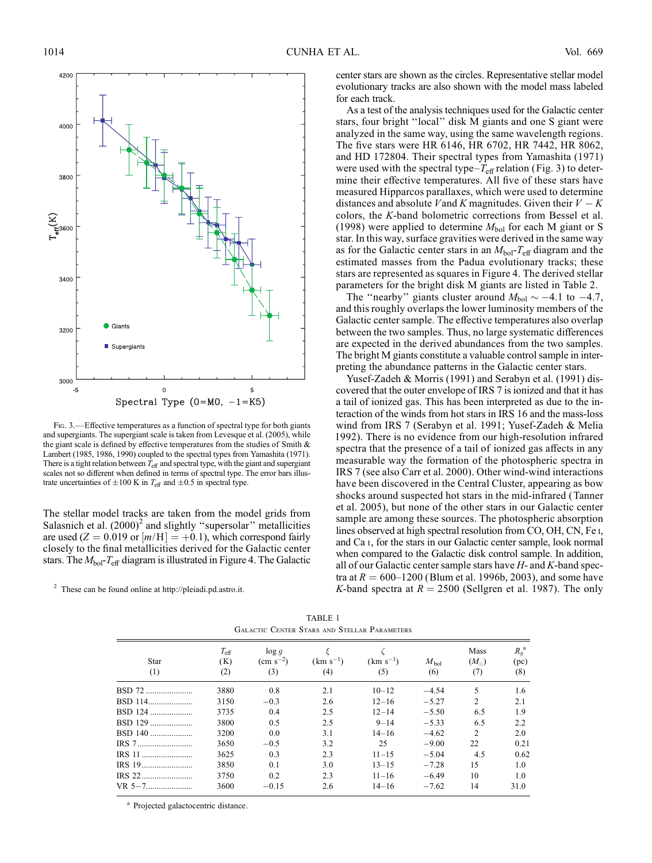

Fig. 3.—Effective temperatures as a function of spectral type for both giants and supergiants. The supergiant scale is taken from Levesque et al. (2005), while the giant scale is defined by effective temperatures from the studies of Smith & Lambert (1985, 1986, 1990) coupled to the spectral types from Yamashita (1971). There is a tight relation between  $T_{\text{eff}}$  and spectral type, with the giant and supergiant scales not so different when defined in terms of spectral type. The error bars illustrate uncertainties of  $\pm 100$  K in  $T_{\text{eff}}$  and  $\pm 0.5$  in spectral type.

The stellar model tracks are taken from the model grids from Salasnich et al.  $(2000)^2$  and slightly "supersolar" metallicities are used ( $Z = 0.019$  or  $[m/H] = +0.1$ ), which correspond fairly closely to the final metallicities derived for the Galactic center stars. The  $M_{bol}$ - $T_{\text{eff}}$  diagram is illustrated in Figure 4. The Galactic

<sup>2</sup> These can be found online at http://pleiadi.pd.astro.it.

center stars are shown as the circles. Representative stellar model evolutionary tracks are also shown with the model mass labeled for each track.

As a test of the analysis techniques used for the Galactic center stars, four bright ''local'' disk M giants and one S giant were analyzed in the same way, using the same wavelength regions. The five stars were HR 6146, HR 6702, HR 7442, HR 8062, and HD 172804. Their spectral types from Yamashita (1971) were used with the spectral type- $T_{\text{eff}}$  relation (Fig. 3) to determine their effective temperatures. All five of these stars have measured Hipparcos parallaxes, which were used to determine distances and absolute V and K magnitudes. Given their  $V - K$ colors, the K-band bolometric corrections from Bessel et al. (1998) were applied to determine  $M_{bol}$  for each M giant or S star. In this way, surface gravities were derived in the same way as for the Galactic center stars in an  $M_{bol}$ - $T_{\text{eff}}$  diagram and the estimated masses from the Padua evolutionary tracks; these stars are represented as squares in Figure 4. The derived stellar parameters for the bright disk M giants are listed in Table 2.

The "nearby" giants cluster around  $M_{bol} \sim -4.1$  to  $-4.7$ , and this roughly overlaps the lower luminosity members of the Galactic center sample. The effective temperatures also overlap between the two samples. Thus, no large systematic differences are expected in the derived abundances from the two samples. The bright M giants constitute a valuable control sample in interpreting the abundance patterns in the Galactic center stars.

Yusef-Zadeh & Morris (1991) and Serabyn et al. (1991) discovered that the outer envelope of IRS 7 is ionized and that it has a tail of ionized gas. This has been interpreted as due to the interaction of the winds from hot stars in IRS 16 and the mass-loss wind from IRS 7 (Serabyn et al. 1991; Yusef-Zadeh & Melia 1992). There is no evidence from our high-resolution infrared spectra that the presence of a tail of ionized gas affects in any measurable way the formation of the photospheric spectra in IRS 7 (see also Carr et al. 2000). Other wind-wind interactions have been discovered in the Central Cluster, appearing as bow shocks around suspected hot stars in the mid-infrared (Tanner et al. 2005), but none of the other stars in our Galactic center sample are among these sources. The photospheric absorption lines observed at high spectral resolution from CO, OH, CN, Fe i, and Ca i, for the stars in our Galactic center sample, look normal when compared to the Galactic disk control sample. In addition, all of our Galactic center sample stars have  $H$ - and  $K$ -band spectra at  $R = 600-1200$  (Blum et al. 1996b, 2003), and some have K-band spectra at  $R = 2500$  (Sellgren et al. 1987). The only

| Star<br>(1) | $T_{\rm eff}$<br>(K)<br>(2) | $\log g$<br>$\rm (cm \; s^{-2})$<br>(3) | $(km s^{-1})$<br>(4) | $(km s^{-1})$<br>(5) | $M_{\rm bol}$<br>(6) | Mass<br>$(M_{\odot})$<br>(7) | $R_q^{\ a}$<br>(pc)<br>(8) |
|-------------|-----------------------------|-----------------------------------------|----------------------|----------------------|----------------------|------------------------------|----------------------------|
|             | 3880                        | 0.8                                     | 2.1                  | $10 - 12$            | $-4.54$              | 5                            | 1.6                        |
|             | 3150                        | $-0.3$                                  | 2.6                  | $12 - 16$            | $-5.27$              | 2                            | 2.1                        |
|             | 3735                        | 0.4                                     | 2.5                  | $12 - 14$            | $-5.50$              | 6.5                          | 1.9                        |
|             | 3800                        | 0.5                                     | 2.5                  | $9 - 14$             | $-5.33$              | 6.5                          | 2.2                        |
|             | 3200                        | 0.0                                     | 3.1                  | $14 - 16$            | $-4.62$              | $\mathfrak{D}$               | 2.0                        |
|             | 3650                        | $-0.5$                                  | 3.2                  | 25                   | $-9.00$              | 22                           | 0.21                       |
|             | 3625                        | 0.3                                     | 2.3                  | $11 - 15$            | $-5.04$              | 4.5                          | 0.62                       |
|             | 3850                        | 0.1                                     | 3.0                  | $13 - 15$            | $-7.28$              | 15                           | 1.0                        |
|             | 3750                        | 0.2                                     | 2.3                  | $11 - 16$            | $-6.49$              | 10                           | 1.0                        |
|             | 3600                        | $-0.15$                                 | 2.6                  | $14 - 16$            | $-7.62$              | 14                           | 31.0                       |

TABLE 1 Galactic Center Stars and Stellar Parameters

<sup>a</sup> Projected galactocentric distance.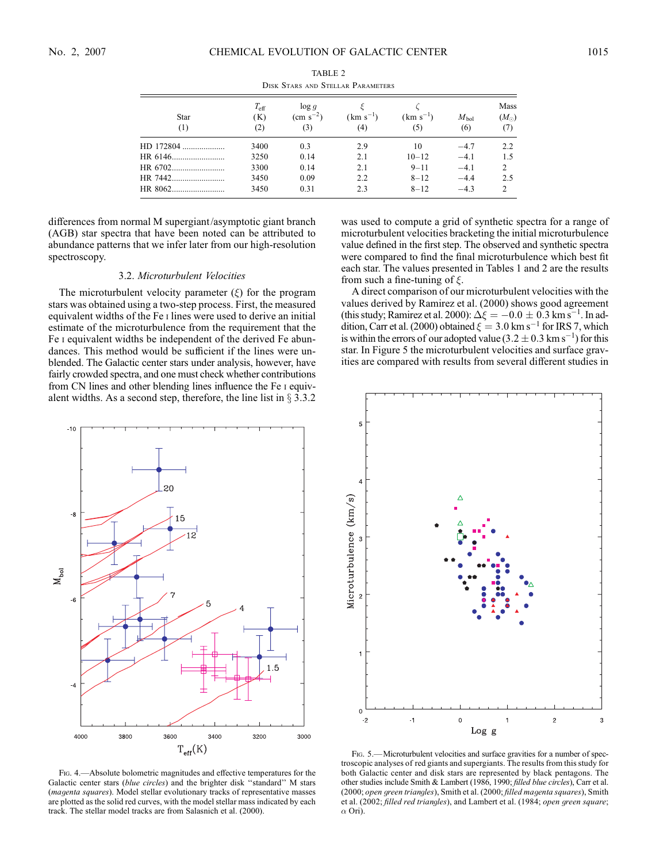| <b>Star</b><br>(1) | $T_{\rm eff}$<br>(K)<br>(2) | $\log g$<br>$\rm (cm \; s^{-2})$<br>(3) | $(km s^{-1})$<br>(4) | $(km s^{-1})$<br>(5) | $M_{\rm bol}$<br>(6) | Mass<br>$(M_{\odot})$<br>(7) |
|--------------------|-----------------------------|-----------------------------------------|----------------------|----------------------|----------------------|------------------------------|
| HD 172804          | 3400                        | 0.3                                     | 2.9                  | 10                   | $-4.7$               | 2.2                          |
|                    | 3250                        | 0.14                                    | 2.1                  | $10 - 12$            | $-4.1$               | 1.5                          |
|                    | 3300                        | 0.14                                    | 2.1                  | $9 - 11$             | $-4.1$               | 2                            |
|                    | 3450                        | 0.09                                    | 2.2                  | $8 - 12$             | $-4.4$               | 2.5                          |
|                    | 3450                        | 0.31                                    | 2.3                  | $8 - 12$             | $-4.3$               | $\mathfrak{D}$               |

| TABLE 2 |                                          |  |  |  |  |  |
|---------|------------------------------------------|--|--|--|--|--|
|         | <b>DISK STARS AND STELLAR PARAMETERS</b> |  |  |  |  |  |

differences from normal M supergiant/asymptotic giant branch (AGB) star spectra that have been noted can be attributed to abundance patterns that we infer later from our high-resolution spectroscopy.

#### 3.2. Microturbulent Velocities

The microturbulent velocity parameter  $(\xi)$  for the program stars was obtained using a two-step process. First, the measured equivalent widths of the Fe i lines were used to derive an initial estimate of the microturbulence from the requirement that the Fe i equivalent widths be independent of the derived Fe abundances. This method would be sufficient if the lines were unblended. The Galactic center stars under analysis, however, have fairly crowded spectra, and one must check whether contributions from CN lines and other blending lines influence the Fe i equivalent widths. As a second step, therefore, the line list in  $\S 3.3.2$ 



Fig. 4.—Absolute bolometric magnitudes and effective temperatures for the Galactic center stars (blue circles) and the brighter disk "standard" M stars (magenta squares). Model stellar evolutionary tracks of representative masses are plotted as the solid red curves, with the model stellar mass indicated by each track. The stellar model tracks are from Salasnich et al. (2000).

was used to compute a grid of synthetic spectra for a range of microturbulent velocities bracketing the initial microturbulence value defined in the first step. The observed and synthetic spectra were compared to find the final microturbulence which best fit each star. The values presented in Tables 1 and 2 are the results from such a fine-tuning of  $\xi$ .

A direct comparison of our microturbulent velocities with the values derived by Ramirez et al. (2000) shows good agreement (this study; Ramirez et al. 2000):  $\Delta \xi = -0.0 \pm 0.3$  km s<sup>-1</sup>. In addition, Carr et al. (2000) obtained  $\xi = 3.0$  km s<sup>-1</sup> for IRS 7, which is within the errors of our adopted value (3.2  $\pm$  0.3 km s<sup>-1</sup>) for this star. In Figure 5 the microturbulent velocities and surface gravities are compared with results from several different studies in



FIG. 5.—Microturbulent velocities and surface gravities for a number of spectroscopic analyses of red giants and supergiants. The results from this study for both Galactic center and disk stars are represented by black pentagons. The other studies include Smith & Lambert (1986, 1990; filled blue circles), Carr et al. (2000; open green triangles), Smith et al. (2000; filled magenta squares), Smith et al. (2002; filled red triangles), and Lambert et al. (1984; open green square;  $\alpha$  Ori).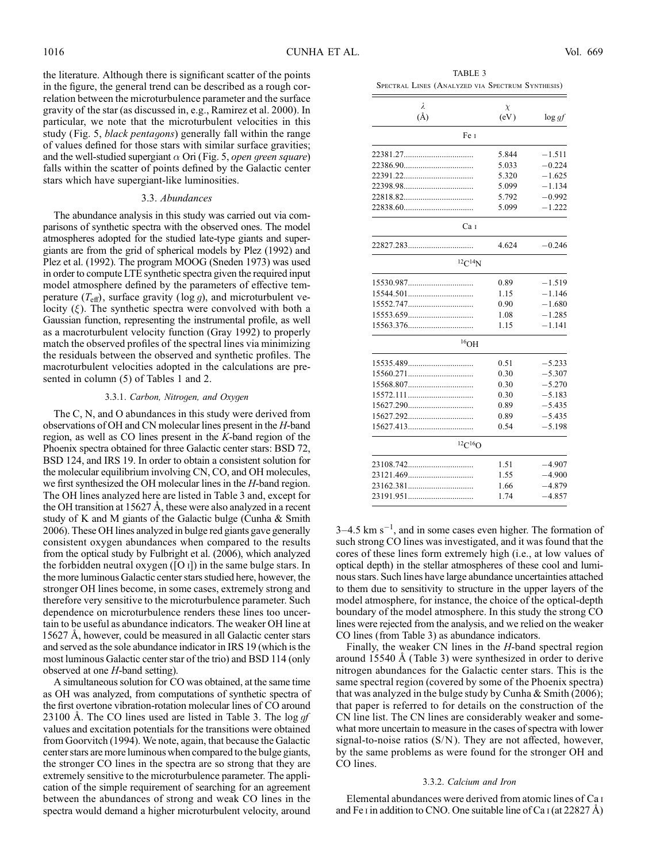the literature. Although there is significant scatter of the points in the figure, the general trend can be described as a rough correlation between the microturbulence parameter and the surface gravity of the star (as discussed in, e.g., Ramirez et al. 2000). In particular, we note that the microturbulent velocities in this study (Fig. 5, black pentagons) generally fall within the range of values defined for those stars with similar surface gravities; and the well-studied supergiant  $\alpha$  Ori (Fig. 5, open green square) falls within the scatter of points defined by the Galactic center stars which have supergiant-like luminosities.

### 3.3. Abundances

The abundance analysis in this study was carried out via comparisons of synthetic spectra with the observed ones. The model atmospheres adopted for the studied late-type giants and supergiants are from the grid of spherical models by Plez (1992) and Plez et al. (1992). The program MOOG (Sneden 1973) was used in order to compute LTE synthetic spectra given the required input model atmosphere defined by the parameters of effective temperature  $(T_{\text{eff}})$ , surface gravity (log g), and microturbulent velocity  $(\xi)$ . The synthetic spectra were convolved with both a Gaussian function, representing the instrumental profile, as well as a macroturbulent velocity function (Gray 1992) to properly match the observed profiles of the spectral lines via minimizing the residuals between the observed and synthetic profiles. The macroturbulent velocities adopted in the calculations are presented in column (5) of Tables 1 and 2.

#### 3.3.1. Carbon, Nitrogen, and Oxygen

The C, N, and O abundances in this study were derived from observations of OH and CN molecular lines present in the H-band region, as well as CO lines present in the K-band region of the Phoenix spectra obtained for three Galactic center stars: BSD 72, BSD 124, and IRS 19. In order to obtain a consistent solution for the molecular equilibrium involving CN, CO, and OH molecules, we first synthesized the OH molecular lines in the H-band region. The OH lines analyzed here are listed in Table 3 and, except for the OH transition at 15627  $\AA$ , these were also analyzed in a recent study of K and M giants of the Galactic bulge (Cunha & Smith 2006). These OH lines analyzed in bulge red giants gave generally consistent oxygen abundances when compared to the results from the optical study by Fulbright et al. (2006), which analyzed the forbidden neutral oxygen  $([O I])$  in the same bulge stars. In the more luminous Galactic center stars studied here, however, the stronger OH lines become, in some cases, extremely strong and therefore very sensitive to the microturbulence parameter. Such dependence on microturbulence renders these lines too uncertain to be useful as abundance indicators. The weaker OH line at 15627 A, however, could be measured in all Galactic center stars and served as the sole abundance indicator in IRS 19 (which is the most luminous Galactic center star of the trio) and BSD 114 (only observed at one  $H$ -band setting).

A simultaneous solution for CO was obtained, at the same time as OH was analyzed, from computations of synthetic spectra of the first overtone vibration-rotation molecular lines of CO around 23100 Å. The CO lines used are listed in Table 3. The  $\log gf$ values and excitation potentials for the transitions were obtained from Goorvitch (1994). We note, again, that because the Galactic center stars are more luminous when compared to the bulge giants, the stronger CO lines in the spectra are so strong that they are extremely sensitive to the microturbulence parameter. The application of the simple requirement of searching for an agreement between the abundances of strong and weak CO lines in the spectra would demand a higher microturbulent velocity, around

TABLE 3 Spectral Lines (Analyzed via Spectrum Synthesis)

| λ<br>$(\AA)$               | $\chi$<br>(eV) | $\log gf$ |  |  |
|----------------------------|----------------|-----------|--|--|
| Fe 1                       |                |           |  |  |
|                            | 5.844          | $-1.511$  |  |  |
|                            | 5.033          | $-0.224$  |  |  |
|                            | 5.320          | $-1.625$  |  |  |
|                            | 5.099          | $-1.134$  |  |  |
|                            | 5.792          | $-0.992$  |  |  |
|                            | 5.099          | $-1.222$  |  |  |
| Ca I                       |                |           |  |  |
|                            | 4.624          | $-0.246$  |  |  |
| ${}^{12}C$ <sup>14</sup> N |                |           |  |  |
| 15530.987                  | 0.89           | $-1.519$  |  |  |
|                            | 1.15           | $-1.146$  |  |  |
|                            | 0.90           | $-1.680$  |  |  |
|                            | 1.08           | $-1.285$  |  |  |
|                            | 1.15           | $-1.141$  |  |  |
| ${}^{16}$ OH               |                |           |  |  |
| 15535.489                  | 0.51           | $-5.233$  |  |  |
| 15560.271                  | 0.30           | $-5.307$  |  |  |
|                            | 0.30           | $-5.270$  |  |  |
|                            | 0.30           | $-5.183$  |  |  |
| 15627.290                  | 0.89           | $-5.435$  |  |  |
|                            | 0.89           | $-5.435$  |  |  |
|                            | 0.54           | $-5.198$  |  |  |
| ${}^{12}C{}^{16}O$         |                |           |  |  |
|                            | 1.51           | $-4.907$  |  |  |
|                            | 1.55           | $-4.900$  |  |  |
|                            | 1.66           | $-4.879$  |  |  |
|                            | 1.74           | $-4.857$  |  |  |

 $3-4.5$  km s<sup>-1</sup>, and in some cases even higher. The formation of such strong CO lines was investigated, and it was found that the cores of these lines form extremely high (i.e., at low values of optical depth) in the stellar atmospheres of these cool and luminous stars. Such lines have large abundance uncertainties attached to them due to sensitivity to structure in the upper layers of the model atmosphere, for instance, the choice of the optical-depth boundary of the model atmosphere. In this study the strong CO lines were rejected from the analysis, and we relied on the weaker CO lines (from Table 3) as abundance indicators.

Finally, the weaker CN lines in the H-band spectral region around  $15540 \text{ Å}$  (Table 3) were synthesized in order to derive nitrogen abundances for the Galactic center stars. This is the same spectral region (covered by some of the Phoenix spectra) that was analyzed in the bulge study by Cunha  $\&$  Smith (2006); that paper is referred to for details on the construction of the CN line list. The CN lines are considerably weaker and somewhat more uncertain to measure in the cases of spectra with lower signal-to-noise ratios  $(S/N)$ . They are not affected, however, by the same problems as were found for the stronger OH and CO lines.

#### 3.3.2. Calcium and Iron

Elemental abundances were derived from atomic lines of Ca i and Fe i in addition to CNO. One suitable line of Ca  $I$  (at 22827 Å)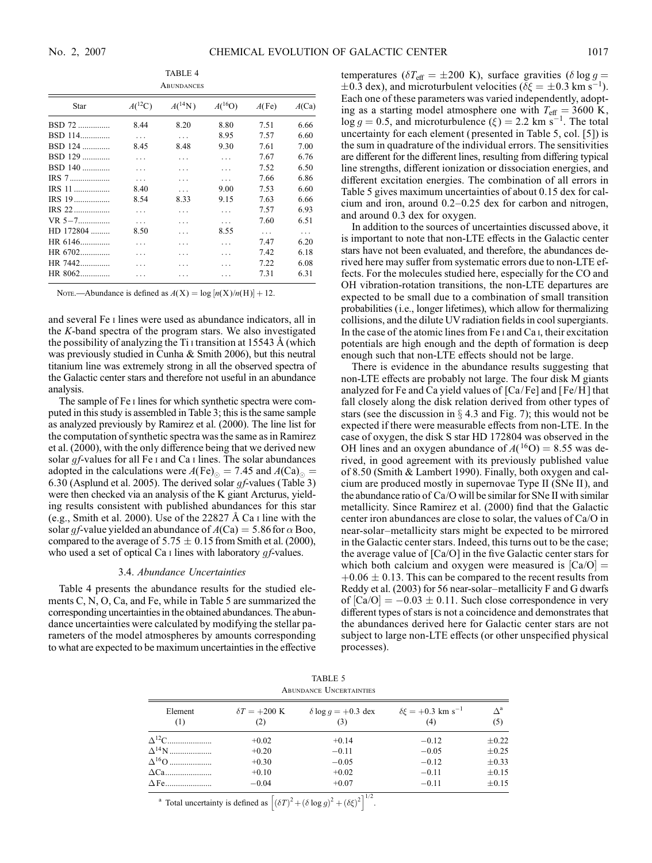TABLE 4 **ABUNDANCES** 

| Star        | $A(^{12}C)$ | $A(^{14}N)$ | $A(^{16}O)$ | $A$ (Fe) | A(Ca) |
|-------------|-------------|-------------|-------------|----------|-------|
| $BSD 72$    | 8.44        | 8.20        | 8.80        | 7.51     | 6.66  |
| BSD 114     | .           | .           | 8.95        | 7.57     | 6.60  |
| BSD 124     | 8.45        | 8.48        | 9.30        | 7.61     | 7.00  |
|             |             |             |             | 7.67     | 6.76  |
| BSD 140     | .           |             | .           | 7.52     | 6.50  |
|             |             |             |             | 7.66     | 6.86  |
|             | 8.40        |             | 9.00        | 7.53     | 6.60  |
|             | 8.54        | 8.33        | 9.15        | 7.63     | 6.66  |
|             |             |             |             | 7.57     | 6.93  |
|             |             |             |             | 7.60     | 6.51  |
| $HD$ 172804 | 8.50        |             | 8.55        |          | .     |
| $HR 6146$   |             |             |             | 7.47     | 6.20  |
| HR 6702     | .           |             |             | 7.42     | 6.18  |
| HR 7442     | .           |             |             | 7.22     | 6.08  |
| $HR 8062$   |             |             |             | 7.31     | 6.31  |
|             |             |             |             |          |       |

NOTE.—Abundance is defined as  $A(X) = \log [n(X)/n(H)] + 12$ .

and several Fe i lines were used as abundance indicators, all in the K-band spectra of the program stars. We also investigated the possibility of analyzing the Ti  $\iota$  transition at 15543 Å (which was previously studied in Cunha & Smith 2006), but this neutral titanium line was extremely strong in all the observed spectra of the Galactic center stars and therefore not useful in an abundance analysis.

The sample of Fe i lines for which synthetic spectra were computed in this study is assembled in Table 3; this is the same sample as analyzed previously by Ramirez et al. (2000). The line list for the computation of synthetic spectra was the same as in Ramirez et al. (2000), with the only difference being that we derived new solar gf-values for all Fe  $\alpha$  i and Ca  $\alpha$  i lines. The solar abundances adopted in the calculations were  $A(\text{Fe})_{\odot} = 7.45$  and  $A(\text{Ca})_{\odot} =$ 6:30 (Asplund et al. 2005). The derived solar gf-values (Table 3) were then checked via an analysis of the K giant Arcturus, yielding results consistent with published abundances for this star (e.g., Smith et al. 2000). Use of the 22827  $\AA$  Ca I line with the solar gf-value yielded an abundance of  $A$ (Ca) = 5.86 for  $\alpha$  Boo, compared to the average of  $5.75 \pm 0.15$  from Smith et al. (2000), who used a set of optical Ca I lines with laboratory gf-values.

#### 3.4. Abundance Uncertainties

Table 4 presents the abundance results for the studied elements C, N, O, Ca, and Fe, while in Table 5 are summarized the corresponding uncertainties in the obtained abundances. The abundance uncertainties were calculated by modifying the stellar parameters of the model atmospheres by amounts corresponding to what are expected to be maximum uncertainties in the effective

 $\equiv$ 

temperatures ( $\delta T_{\text{eff}} = \pm 200 \text{ K}$ ), surface gravities ( $\delta \log g =$  $\pm 0.3$  dex), and microturbulent velocities ( $\delta \xi = \pm 0.3$  km s<sup>-1</sup>). Each one of these parameters was varied independently, adopting as a starting model atmosphere one with  $T_{\text{eff}} = 3600 \text{ K}$ ,  $\log g = 0.5$ , and microturbulence ( $\xi$ ) = 2.2 km s<sup>-1</sup>. The total uncertainty for each element ( presented in Table 5, col. [5]) is the sum in quadrature of the individual errors. The sensitivities are different for the different lines, resulting from differing typical line strengths, different ionization or dissociation energies, and different excitation energies. The combination of all errors in Table 5 gives maximum uncertainties of about 0.15 dex for calcium and iron, around  $0.2-0.25$  dex for carbon and nitrogen, and around 0.3 dex for oxygen.

In addition to the sources of uncertainties discussed above, it is important to note that non-LTE effects in the Galactic center stars have not been evaluated, and therefore, the abundances derived here may suffer from systematic errors due to non-LTE effects. For the molecules studied here, especially for the CO and OH vibration-rotation transitions, the non-LTE departures are expected to be small due to a combination of small transition probabilities (i.e., longer lifetimes), which allow for thermalizing collisions, and the dilute UV radiation fields in cool supergiants. In the case of the atomic lines from Fe i and Ca i, their excitation potentials are high enough and the depth of formation is deep enough such that non-LTE effects should not be large.

There is evidence in the abundance results suggesting that non-LTE effects are probably not large. The four disk M giants analyzed for Fe and Ca yield values of  $\lceil Ca/Fe \rceil$  and  $\lceil Fe/H \rceil$  that fall closely along the disk relation derived from other types of stars (see the discussion in  $\S$  4.3 and Fig. 7); this would not be expected if there were measurable effects from non-LTE. In the case of oxygen, the disk S star HD 172804 was observed in the OH lines and an oxygen abundance of  $A(^{16}O) = 8.55$  was derived, in good agreement with its previously published value of 8.50 (Smith & Lambert 1990). Finally, both oxygen and calcium are produced mostly in supernovae Type II (SNe II ), and the abundance ratio of Ca/O will be similar for SNe II with similar metallicity. Since Ramirez et al. (2000) find that the Galactic center iron abundances are close to solar, the values of Ca/O in near-solar-metallicity stars might be expected to be mirrored in the Galactic center stars. Indeed, this turns out to be the case; the average value of [Ca/O] in the five Galactic center stars for which both calcium and oxygen were measured is  $|Ca/O| =$  $+0.06 \pm 0.13$ . This can be compared to the recent results from Reddy et al.  $(2003)$  for 56 near-solar-metallicity F and G dwarfs of  $[Ca/O] = -0.03 \pm 0.11$ . Such close correspondence in very different types of stars is not a coincidence and demonstrates that the abundances derived here for Galactic center stars are not subject to large non-LTE effects (or other unspecified physical processes).

TABLE 5 Abundance Uncertainties

| ABUNDANCE UNCERTAINTIES |                                    |                                   |                                               |                              |  |  |  |
|-------------------------|------------------------------------|-----------------------------------|-----------------------------------------------|------------------------------|--|--|--|
| Element<br>(1)          | $\delta T = +200 \text{ K}$<br>(2) | $\delta \log q = +0.3$ dex<br>(3) | $\delta \xi = +0.3$ km s <sup>-1</sup><br>(4) | $\Delta^{\mathrm{a}}$<br>(5) |  |  |  |
|                         | $+0.02$                            | $+0.14$                           | $-0.12$                                       | $+0.22$                      |  |  |  |
| $\Delta^{14}N$          | $+0.20$                            | $-0.11$                           | $-0.05$                                       | $+0.25$                      |  |  |  |
| $\Delta^{16}$ O         | $+0.30$                            | $-0.05$                           | $-0.12$                                       | $\pm 0.33$                   |  |  |  |
| $\Delta$ Ca             | $+0.10$                            | $+0.02$                           | $-0.11$                                       | $\pm 0.15$                   |  |  |  |
| $\Delta$ Fe             | $-0.04$                            | $+0.07$                           | $-0.11$                                       | $\pm 0.15$                   |  |  |  |

<sup>a</sup> Total uncertainty is defined as  $\left[ (\delta T)^2 + (\delta \log g)^2 + (\delta \xi)^2 \right]^{1/2}$ .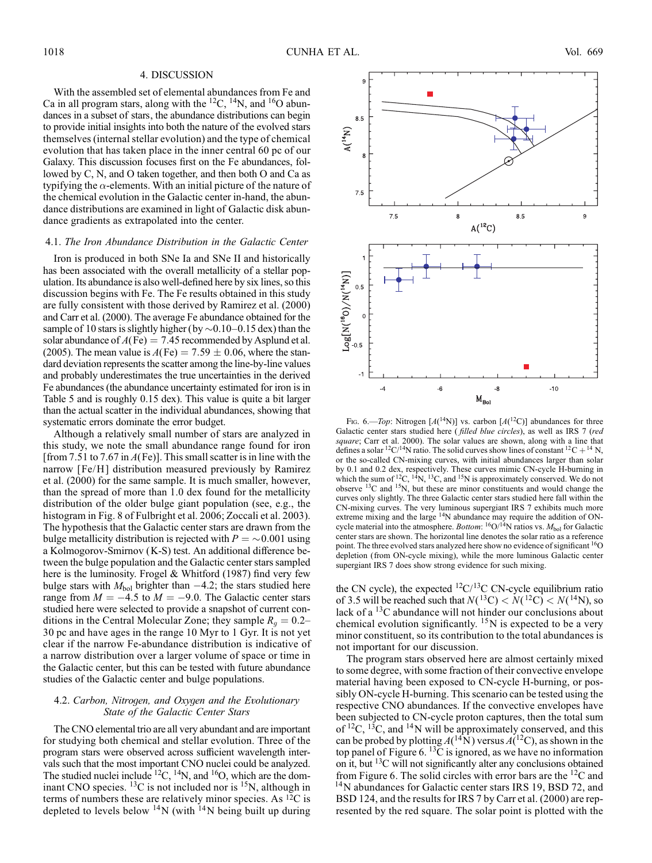### 4. DISCUSSION

With the assembled set of elemental abundances from Fe and Ca in all program stars, along with the  ${}^{12}C$ ,  ${}^{14}N$ , and  ${}^{16}O$  abundances in a subset of stars, the abundance distributions can begin to provide initial insights into both the nature of the evolved stars themselves (internal stellar evolution) and the type of chemical evolution that has taken place in the inner central 60 pc of our Galaxy. This discussion focuses first on the Fe abundances, followed by C, N, and O taken together, and then both O and Ca as typifying the  $\alpha$ -elements. With an initial picture of the nature of the chemical evolution in the Galactic center in-hand, the abundance distributions are examined in light of Galactic disk abundance gradients as extrapolated into the center.

### 4.1. The Iron Abundance Distribution in the Galactic Center

Iron is produced in both SNe Ia and SNe II and historically has been associated with the overall metallicity of a stellar population. Its abundance is also well-defined here by six lines, so this discussion begins with Fe. The Fe results obtained in this study are fully consistent with those derived by Ramirez et al. (2000) and Carr et al. (2000). The average Fe abundance obtained for the sample of 10 stars is slightly higher (by  $\sim$  0.10–0.15 dex) than the solar abundance of  $A$ (Fe) = 7.45 recommended by Asplund et al. (2005). The mean value is  $A(Fe) = 7.59 \pm 0.06$ , where the standard deviation represents the scatter among the line-by-line values and probably underestimates the true uncertainties in the derived Fe abundances (the abundance uncertainty estimated for iron is in Table 5 and is roughly 0.15 dex). This value is quite a bit larger than the actual scatter in the individual abundances, showing that systematic errors dominate the error budget.

Although a relatively small number of stars are analyzed in this study, we note the small abundance range found for iron [from 7.51 to 7.67 in  $A$ (Fe)]. This small scatter is in line with the narrow [Fe/H] distribution measured previously by Ramirez et al. (2000) for the same sample. It is much smaller, however, than the spread of more than 1.0 dex found for the metallicity distribution of the older bulge giant population (see, e.g., the histogram in Fig. 8 of Fulbright et al. 2006; Zoccali et al. 2003). The hypothesis that the Galactic center stars are drawn from the bulge metallicity distribution is rejected with  $P = 0.001$  using a Kolmogorov-Smirnov (K-S) test. An additional difference between the bulge population and the Galactic center stars sampled here is the luminosity. Frogel & Whitford (1987) find very few bulge stars with  $M_{bol}$  brighter than  $-4.2$ ; the stars studied here range from  $M = -4.5$  to  $M = -9.0$ . The Galactic center stars studied here were selected to provide a snapshot of current conditions in the Central Molecular Zone; they sample  $R<sub>q</sub> = 0.2-$ 30 pc and have ages in the range 10 Myr to 1 Gyr. It is not yet clear if the narrow Fe-abundance distribution is indicative of a narrow distribution over a larger volume of space or time in the Galactic center, but this can be tested with future abundance studies of the Galactic center and bulge populations.

### 4.2. Carbon, Nitrogen, and Oxygen and the Evolutionary State of the Galactic Center Stars

The CNO elemental trio are all very abundant and are important for studying both chemical and stellar evolution. Three of the program stars were observed across sufficient wavelength intervals such that the most important CNO nuclei could be analyzed. The studied nuclei include  ${}^{12}C$ ,  ${}^{14}N$ , and  ${}^{16}O$ , which are the dominant CNO species.  ${}^{13}C$  is not included nor is  ${}^{15}N$ , although in terms of numbers these are relatively minor species. As <sup>12</sup>C is depleted to levels below  $^{14}N$  (with  $^{14}N$  being built up during



FIG. 6.—*Top*: Nitrogen  $[A(^{14}N)]$  vs. carbon  $[A(^{12}C)]$  abundances for three Galactic center stars studied here (filled blue circles), as well as IRS 7 (red square; Carr et al. 2000). The solar values are shown, along with a line that defines a solar <sup>12</sup>C/<sup>14</sup>N ratio. The solid curves show lines of constant <sup>12</sup>C + <sup>14</sup> N, or the so-called CN-mixing curves, with initial abundances larger than solar by 0.1 and 0.2 dex, respectively. These curves mimic CN-cycle H-burning in which the sum of  $^{12}C$ ,  $^{14}N$ ,  $^{13}C$ , and  $^{15}N$  is approximately conserved. We do not observe 13C and 15N, but these are minor constituents and would change the curves only slightly. The three Galactic center stars studied here fall within the CN-mixing curves. The very luminous supergiant IRS 7 exhibits much more extreme mixing and the large <sup>14</sup>N abundance may require the addition of ONcycle material into the atmosphere. Bottom:  ${}^{16}O/{}^{14}N$  ratios vs.  $M_{bol}$  for Galactic center stars are shown. The horizontal line denotes the solar ratio as a reference point. The three evolved stars analyzed here show no evidence of significant <sup>16</sup>O depletion (from ON-cycle mixing), while the more luminous Galactic center supergiant IRS 7 does show strong evidence for such mixing.

the CN cycle), the expected  ${}^{12}C/{}^{13}C$  CN-cycle equilibrium ratio of 3.5 will be reached such that  $N({}^{13}C) < N({}^{12}C) < N({}^{14}N)$ , so lack of a 13C abundance will not hinder our conclusions about chemical evolution significantly.  ${}^{15}N$  is expected to be a very minor constituent, so its contribution to the total abundances is not important for our discussion.

The program stars observed here are almost certainly mixed to some degree, with some fraction of their convective envelope material having been exposed to CN-cycle H-burning, or possibly ON-cycle H-burning. This scenario can be tested using the respective CNO abundances. If the convective envelopes have been subjected to CN-cycle proton captures, then the total sum of  ${}^{12}C$ ,  ${}^{13}C$ , and  ${}^{14}N$  will be approximately conserved, and this can be probed by plotting  $A(^{14}\rm N)$  versus  $A(^{12}\rm C)$ , as shown in the top panel of Figure 6.  ${}^{13}C$  is ignored, as we have no information on it, but 13C will not significantly alter any conclusions obtained from Figure 6. The solid circles with error bars are the  ${}^{12}C$  and <sup>14</sup>N abundances for Galactic center stars IRS 19, BSD 72, and BSD 124, and the results for IRS 7 by Carr et al. (2000) are represented by the red square. The solar point is plotted with the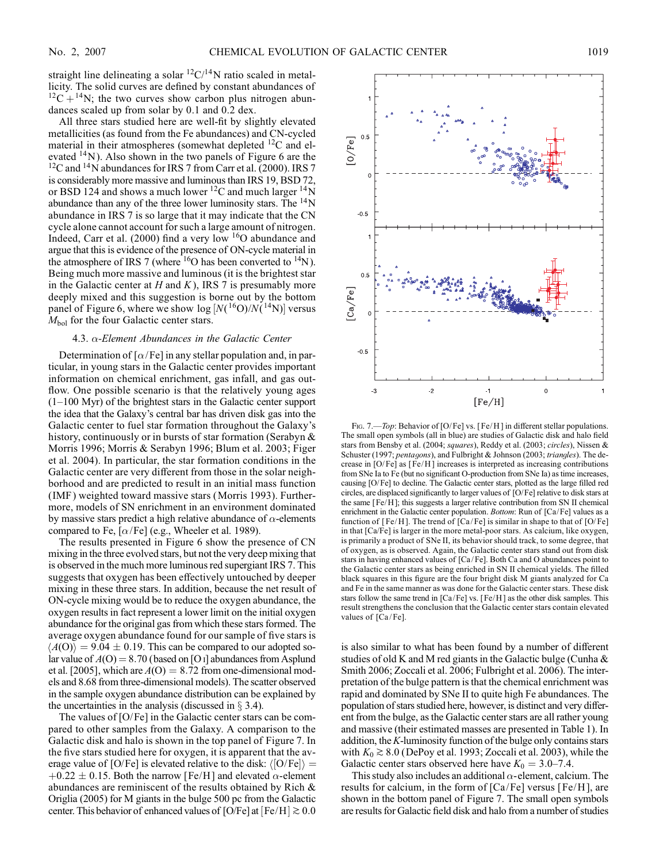straight line delineating a solar  ${}^{12}C/{}^{14}N$  ratio scaled in metallicity. The solid curves are defined by constant abundances of  $12^1C + 14N$ ; the two curves show carbon plus nitrogen abundances scaled up from solar by 0.1 and 0.2 dex.

All three stars studied here are well-fit by slightly elevated metallicities (as found from the Fe abundances) and CN-cycled material in their atmospheres (somewhat depleted  $^{12}$ C and elevated  $14$ N). Also shown in the two panels of Figure 6 are the  $12C$  and  $14N$  abundances for IRS 7 from Carr et al. (2000). IRS 7 is considerably more massive and luminous than IRS 19, BSD 72, or BSD 124 and shows a much lower  ${}^{12}$ C and much larger  ${}^{14}N$ abundance than any of the three lower luminosity stars. The  $^{14}N$ abundance in IRS 7 is so large that it may indicate that the CN cycle alone cannot account for such a large amount of nitrogen. Indeed, Carr et al. (2000) find a very low <sup>16</sup>O abundance and argue that this is evidence of the presence of ON-cycle material in the atmosphere of IRS 7 (where  ${}^{16}O$  has been converted to  ${}^{14}N$ ). Being much more massive and luminous (it is the brightest star in the Galactic center at  $H$  and  $K$ ), IRS 7 is presumably more deeply mixed and this suggestion is borne out by the bottom panel of Figure 6, where we show  $\log N(\binom{16}{16})/N(\binom{14}{18})$  versus  $M_{bol}$  for the four Galactic center stars.

### $4.3.$   $\alpha$ -Element Abundances in the Galactic Center

Determination of [ $\alpha$ /Fe] in any stellar population and, in particular, in young stars in the Galactic center provides important information on chemical enrichment, gas infall, and gas outflow. One possible scenario is that the relatively young ages  $(1-100 \text{ Myr})$  of the brightest stars in the Galactic center support the idea that the Galaxy's central bar has driven disk gas into the Galactic center to fuel star formation throughout the Galaxy's history, continuously or in bursts of star formation (Serabyn & Morris 1996; Morris & Serabyn 1996; Blum et al. 2003; Figer et al. 2004). In particular, the star formation conditions in the Galactic center are very different from those in the solar neighborhood and are predicted to result in an initial mass function (IMF ) weighted toward massive stars (Morris 1993). Furthermore, models of SN enrichment in an environment dominated by massive stars predict a high relative abundance of  $\alpha$ -elements compared to Fe,  $[\alpha/\text{Fe}]$  (e.g., Wheeler et al. 1989).

The results presented in Figure 6 show the presence of CN mixing in the three evolved stars, but not the very deep mixing that is observed in the much more luminous red supergiant IRS 7. This suggests that oxygen has been effectively untouched by deeper mixing in these three stars. In addition, because the net result of ON-cycle mixing would be to reduce the oxygen abundance, the oxygen results in fact represent a lower limit on the initial oxygen abundance for the original gas from which these stars formed. The average oxygen abundance found for our sample of five stars is  $\langle A(O) \rangle = 9.04 \pm 0.19$ . This can be compared to our adopted solar value of  $A(O) = 8.70$  (based on [O i] abundances from Asplund et al. [2005], which are  $A(O) = 8.72$  from one-dimensional models and 8.68 from three-dimensional models). The scatter observed in the sample oxygen abundance distribution can be explained by the uncertainties in the analysis (discussed in  $\S$  3.4).

The values of [O/Fe] in the Galactic center stars can be compared to other samples from the Galaxy. A comparison to the Galactic disk and halo is shown in the top panel of Figure 7. In the five stars studied here for oxygen, it is apparent that the average value of [O/Fe] is elevated relative to the disk:  $\langle$ [O/Fe] $\rangle$  =  $+0.22 \pm 0.15$ . Both the narrow [Fe/H] and elevated  $\alpha$ -element abundances are reminiscent of the results obtained by Rich & Origlia (2005) for M giants in the bulge 500 pc from the Galactic center. This behavior of enhanced values of [O/Fe] at  $[Fe/H] \ge 0.0$ 



FIG. 7.-Top: Behavior of [O/Fe] vs. [Fe/H] in different stellar populations. The small open symbols (all in blue) are studies of Galactic disk and halo field stars from Bensby et al. (2004; squares), Reddy et al. (2003; circles), Nissen & Schuster (1997; pentagons), and Fulbright & Johnson (2003; triangles). The decrease in  $[O/Fe]$  as  $[Fe/H]$  increases is interpreted as increasing contributions from SNe Ia to Fe (but no significant O-production from SNe Ia) as time increases, causing [O/Fe] to decline. The Galactic center stars, plotted as the large filled red circles, are displaced significantly to larger values of [O/ Fe] relative to disk stars at the same [Fe/H ]; this suggests a larger relative contribution from SN II chemical enrichment in the Galactic center population. Bottom: Run of [Ca/Fe] values as a function of  $[Fe/H]$ . The trend of  $[Ca/Fe]$  is similar in shape to that of  $[O/Fe]$ in that [Ca/Fe] is larger in the more metal-poor stars. As calcium, like oxygen, is primarily a product of SNe II, its behavior should track, to some degree, that of oxygen, as is observed. Again, the Galactic center stars stand out from disk stars in having enhanced values of [Ca/ Fe]. Both Ca and O abundances point to the Galactic center stars as being enriched in SN II chemical yields. The filled black squares in this figure are the four bright disk M giants analyzed for Ca and Fe in the same manner as was done for the Galactic center stars. These disk stars follow the same trend in  $[Ca/Fe]$  vs.  $[Fe/H]$  as the other disk samples. This result strengthens the conclusion that the Galactic center stars contain elevated values of [Ca/Fe].

is also similar to what has been found by a number of different studies of old K and M red giants in the Galactic bulge (Cunha & Smith 2006; Zoccali et al. 2006; Fulbright et al. 2006). The interpretation of the bulge pattern is that the chemical enrichment was rapid and dominated by SNe II to quite high Fe abundances. The population of stars studied here, however, is distinct and very different from the bulge, as the Galactic center stars are all rather young and massive (their estimated masses are presented in Table 1). In addition, the K-luminosity function of the bulge only contains stars with  $K_0 \ge 8.0$  (DePoy et al. 1993; Zoccali et al. 2003), while the Galactic center stars observed here have  $K_0 = 3.0 - 7.4$ .

This study also includes an additional  $\alpha$ -element, calcium. The results for calcium, in the form of  $[Ca/Fe]$  versus  $[Fe/H]$ , are shown in the bottom panel of Figure 7. The small open symbols are results for Galactic field disk and halo from a number of studies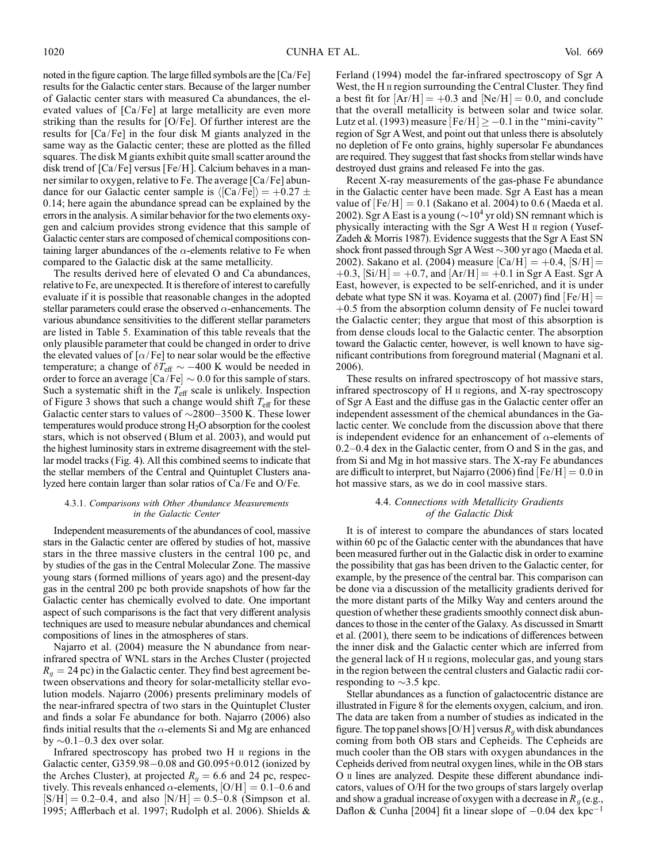noted in the figure caption. The large filled symbols are the [Ca/Fe] results for the Galactic center stars. Because of the larger number of Galactic center stars with measured Ca abundances, the elevated values of [Ca/Fe] at large metallicity are even more striking than the results for [O/Fe]. Of further interest are the results for [Ca/ Fe] in the four disk M giants analyzed in the same way as the Galactic center; these are plotted as the filled squares. The disk M giants exhibit quite small scatter around the disk trend of [Ca/Fe] versus [Fe/H]. Calcium behaves in a manner similar to oxygen, relative to Fe. The average [Ca/ Fe] abundance for our Galactic center sample is  $\langle$ [Ca/Fe] $\rangle = +0.27 \pm$ 0:14; here again the abundance spread can be explained by the errors in the analysis. A similar behavior for the two elements oxygen and calcium provides strong evidence that this sample of Galactic center stars are composed of chemical compositions containing larger abundances of the  $\alpha$ -elements relative to Fe when compared to the Galactic disk at the same metallicity.

The results derived here of elevated O and Ca abundances, relative to Fe, are unexpected. It is therefore of interest to carefully evaluate if it is possible that reasonable changes in the adopted stellar parameters could erase the observed  $\alpha$ -enhancements. The various abundance sensitivities to the different stellar parameters are listed in Table 5. Examination of this table reveals that the only plausible parameter that could be changed in order to drive the elevated values of  $\lbrack \alpha/\text{Fe} \rbrack$  to near solar would be the effective temperature; a change of  $\delta T_{\rm eff} \sim -400$  K would be needed in order to force an average  $[Ca/Fe] \sim 0.0$  for this sample of stars. Such a systematic shift in the  $T_{\text{eff}}$  scale is unlikely. Inspection of Figure 3 shows that such a change would shift  $T_{\text{eff}}$  for these Galactic center stars to values of  $\sim$ 2800–3500 K. These lower temperatures would produce strong  $H_2O$  absorption for the coolest stars, which is not observed (Blum et al. 2003), and would put the highest luminosity stars in extreme disagreement with the stellar model tracks (Fig. 4). All this combined seems to indicate that the stellar members of the Central and Quintuplet Clusters analyzed here contain larger than solar ratios of Ca/Fe and O/Fe.

### 4.3.1. Comparisons with Other Abundance Measurements in the Galactic Center

Independent measurements of the abundances of cool, massive stars in the Galactic center are offered by studies of hot, massive stars in the three massive clusters in the central 100 pc, and by studies of the gas in the Central Molecular Zone. The massive young stars (formed millions of years ago) and the present-day gas in the central 200 pc both provide snapshots of how far the Galactic center has chemically evolved to date. One important aspect of such comparisons is the fact that very different analysis techniques are used to measure nebular abundances and chemical compositions of lines in the atmospheres of stars.

Najarro et al. (2004) measure the N abundance from nearinfrared spectra of WNL stars in the Arches Cluster ( projected  $R_q = 24$  pc) in the Galactic center. They find best agreement between observations and theory for solar-metallicity stellar evolution models. Najarro (2006) presents preliminary models of the near-infrared spectra of two stars in the Quintuplet Cluster and finds a solar Fe abundance for both. Najarro (2006) also finds initial results that the  $\alpha$ -elements Si and Mg are enhanced by  $\sim$ 0.1-0.3 dex over solar.

Infrared spectroscopy has probed two H ii regions in the Galactic center,  $G359.98-0.08$  and  $G0.095+0.012$  (ionized by the Arches Cluster), at projected  $R_g = 6.6$  and 24 pc, respectively. This reveals enhanced  $\alpha$ -elements, [O/H] = 0.1–0.6 and  $[S/H] = 0.2{\text -}0.4$ , and also  $[N/H] = 0.5{\text -}0.8$  (Simpson et al. 1995; Afflerbach et al. 1997; Rudolph et al. 2006). Shields & Ferland (1994) model the far-infrared spectroscopy of Sgr A West, the H<sub>II</sub> region surrounding the Central Cluster. They find a best fit for  $[Ar/H] = +0.3$  and  $[Ne/H] = 0.0$ , and conclude that the overall metallicity is between solar and twice solar. Lutz et al. (1993) measure  $[Fe/H] \ge -0.1$  in the "mini-cavity" region of Sgr AWest, and point out that unless there is absolutely no depletion of Fe onto grains, highly supersolar Fe abundances are required. They suggest that fast shocks from stellar winds have destroyed dust grains and released Fe into the gas.

Recent X-ray measurements of the gas-phase Fe abundance in the Galactic center have been made. Sgr A East has a mean value of  $[Fe/H] = 0.1$  (Sakano et al. 2004) to 0.6 (Maeda et al. 2002). Sgr A East is a young ( $\sim$ 10<sup>4</sup> yr old) SN remnant which is physically interacting with the Sgr A West H ii region (Yusef-Zadeh & Morris 1987). Evidence suggests that the Sgr A East SN shock front passed through Sgr A West  $\sim$ 300 yr ago (Maeda et al. 2002). Sakano et al. (2004) measure  $\text{[Ca/H]} = +0.4$ ,  $\text{[S/H]} =$  $+0.3$ ,  $[Si/H] = +0.7$ , and  $[Ar/H] = +0.1$  in Sgr A East. Sgr A East, however, is expected to be self-enriched, and it is under debate what type SN it was. Koyama et al. (2007) find  $[Fe/H] =$  $+0.5$  from the absorption column density of Fe nuclei toward the Galactic center; they argue that most of this absorption is from dense clouds local to the Galactic center. The absorption toward the Galactic center, however, is well known to have significant contributions from foreground material (Magnani et al. 2006).

These results on infrared spectroscopy of hot massive stars, infrared spectroscopy of H ii regions, and X-ray spectroscopy of Sgr A East and the diffuse gas in the Galactic center offer an independent assessment of the chemical abundances in the Galactic center. We conclude from the discussion above that there is independent evidence for an enhancement of  $\alpha$ -elements of  $0.2-0.4$  dex in the Galactic center, from O and S in the gas, and from Si and Mg in hot massive stars. The X-ray Fe abundances are difficult to interpret, but Najarro (2006) find  $[Fe/H] = 0.0$  in hot massive stars, as we do in cool massive stars.

### 4.4. Connections with Metallicity Gradients of the Galactic Disk

It is of interest to compare the abundances of stars located within 60 pc of the Galactic center with the abundances that have been measured further out in the Galactic disk in order to examine the possibility that gas has been driven to the Galactic center, for example, by the presence of the central bar. This comparison can be done via a discussion of the metallicity gradients derived for the more distant parts of the Milky Way and centers around the question of whether these gradients smoothly connect disk abundances to those in the center of the Galaxy. As discussed in Smartt et al. (2001), there seem to be indications of differences between the inner disk and the Galactic center which are inferred from the general lack of H ii regions, molecular gas, and young stars in the region between the central clusters and Galactic radii corresponding to  ${\sim}3.5$  kpc.

Stellar abundances as a function of galactocentric distance are illustrated in Figure 8 for the elements oxygen, calcium, and iron. The data are taken from a number of studies as indicated in the figure. The top panel shows [O/H] versus  $R<sub>a</sub>$  with disk abundances coming from both OB stars and Cepheids. The Cepheids are much cooler than the OB stars with oxygen abundances in the Cepheids derived from neutral oxygen lines, while in the OB stars O ii lines are analyzed. Despite these different abundance indicators, values of O/H for the two groups of stars largely overlap and show a gradual increase of oxygen with a decrease in  $R_q$  (e.g., Daflon & Cunha [2004] fit a linear slope of  $-0.04$  dex kpc<sup>-1</sup>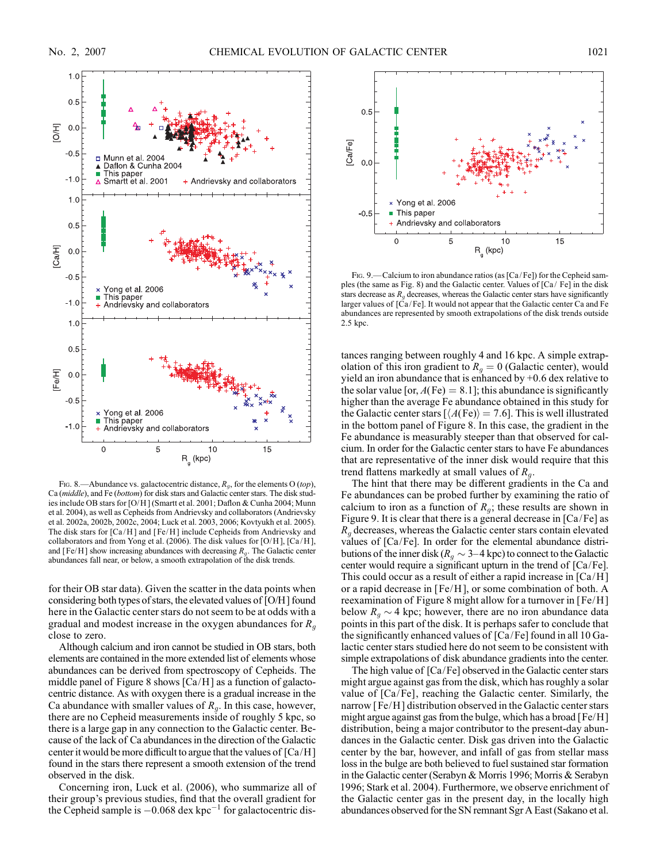

Fig. 8.—Abundance vs. galactocentric distance,  $R_g$ , for the elements O (top), Ca (middle), and Fe (bottom) for disk stars and Galactic center stars. The disk studies include OB stars for [O/H] (Smartt et al. 2001; Daflon & Cunha 2004; Munn et al. 2004), as well as Cepheids from Andrievsky and collaborators (Andrievsky et al. 2002a, 2002b, 2002c, 2004; Luck et al. 2003, 2006; Kovtyukh et al. 2005). The disk stars for [Ca/H] and [Fe/H] include Cepheids from Andrievsky and collaborators and from Yong et al. (2006). The disk values for  $[O/H]$ ,  $[Ca/H]$ , and [Fe/H] show increasing abundances with decreasing  $R_q$ . The Galactic center abundances fall near, or below, a smooth extrapolation of the disk trends.

for their OB star data). Given the scatter in the data points when considering both types of stars, the elevated values of [O/H] found here in the Galactic center stars do not seem to be at odds with a gradual and modest increase in the oxygen abundances for  $R_q$ close to zero.

Although calcium and iron cannot be studied in OB stars, both elements are contained in the more extended list of elements whose abundances can be derived from spectroscopy of Cepheids. The middle panel of Figure 8 shows [Ca/H] as a function of galactocentric distance. As with oxygen there is a gradual increase in the Ca abundance with smaller values of  $R_g$ . In this case, however, there are no Cepheid measurements inside of roughly 5 kpc, so there is a large gap in any connection to the Galactic center. Because of the lack of Ca abundances in the direction of the Galactic center it would be more difficult to argue that the values of  $\lceil Ca/H \rceil$ found in the stars there represent a smooth extension of the trend observed in the disk.

Concerning iron, Luck et al. (2006), who summarize all of their group's previous studies, find that the overall gradient for the Cepheid sample is  $-0.068$  dex kpc<sup>-1</sup> for galactocentric dis-



FIG. 9.—Calcium to iron abundance ratios (as [Ca/Fe]) for the Cepheid samples (the same as Fig. 8) and the Galactic center. Values of [Ca / Fe] in the disk stars decrease as  $R<sub>g</sub>$  decreases, whereas the Galactic center stars have significantly larger values of  $[\text{Ca/Fe}]$ . It would not appear that the Galactic center Ca and Fe abundances are represented by smooth extrapolations of the disk trends outside 2.5 kpc.

tances ranging between roughly 4 and 16 kpc. A simple extrapolation of this iron gradient to  $R_g = 0$  (Galactic center), would yield an iron abundance that is enhanced by +0.6 dex relative to the solar value [or,  $A(\text{Fe}) = 8.1$ ]; this abundance is significantly higher than the average Fe abundance obtained in this study for the Galactic center stars  $\vert \langle A(Fe) \rangle = 7.6$ . This is well illustrated in the bottom panel of Figure 8. In this case, the gradient in the Fe abundance is measurably steeper than that observed for calcium. In order for the Galactic center stars to have Fe abundances that are representative of the inner disk would require that this trend flattens markedly at small values of  $R_q$ .

The hint that there may be different gradients in the Ca and Fe abundances can be probed further by examining the ratio of calcium to iron as a function of  $R_q$ ; these results are shown in Figure 9. It is clear that there is a general decrease in [Ca/Fe] as  $R_q$  decreases, whereas the Galactic center stars contain elevated values of [Ca/Fe]. In order for the elemental abundance distributions of the inner disk ( $R_g \sim 3-4$  kpc) to connect to the Galactic center would require a significant upturn in the trend of [Ca/Fe]. This could occur as a result of either a rapid increase in [Ca/H ] or a rapid decrease in [Fe/H ], or some combination of both. A reexamination of Figure 8 might allow for a turnover in [Fe/H ] below  $R_g \sim 4$  kpc; however, there are no iron abundance data points in this part of the disk. It is perhaps safer to conclude that the significantly enhanced values of  $[Ca/Fe]$  found in all 10 Galactic center stars studied here do not seem to be consistent with simple extrapolations of disk abundance gradients into the center.

The high value of [Ca/Fe] observed in the Galactic center stars might argue against gas from the disk, which has roughly a solar value of [Ca/Fe], reaching the Galactic center. Similarly, the narrow [Fe/H ] distribution observed in the Galactic center stars might argue against gas from the bulge, which has a broad [Fe/H ] distribution, being a major contributor to the present-day abundances in the Galactic center. Disk gas driven into the Galactic center by the bar, however, and infall of gas from stellar mass loss in the bulge are both believed to fuel sustained star formation in the Galactic center (Serabyn & Morris 1996; Morris & Serabyn 1996; Stark et al. 2004). Furthermore, we observe enrichment of the Galactic center gas in the present day, in the locally high abundances observed for the SN remnant Sgr A East (Sakano et al.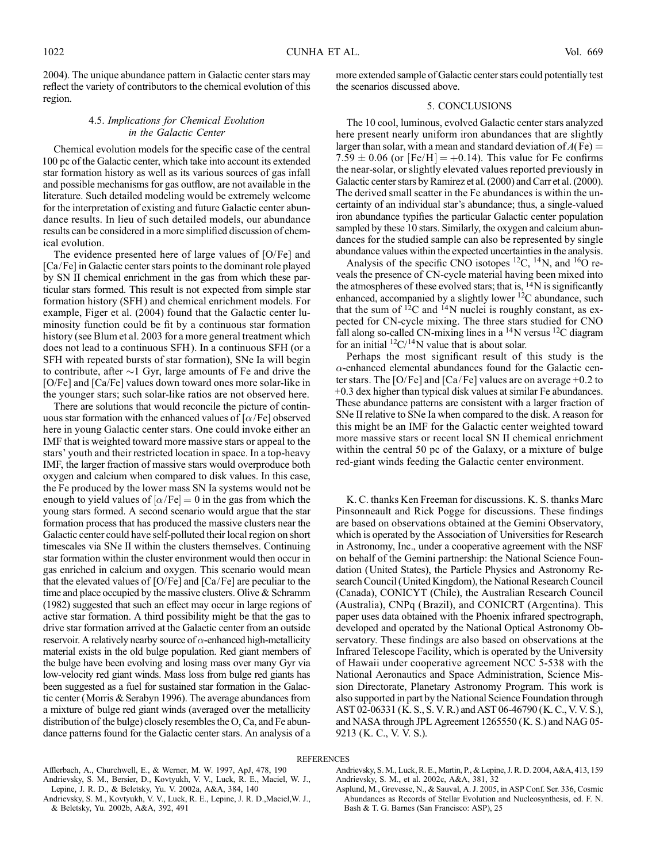2004). The unique abundance pattern in Galactic center stars may reflect the variety of contributors to the chemical evolution of this region.

# 4.5. Implications for Chemical Evolution in the Galactic Center

Chemical evolution models for the specific case of the central 100 pc of the Galactic center, which take into account its extended star formation history as well as its various sources of gas infall and possible mechanisms for gas outflow, are not available in the literature. Such detailed modeling would be extremely welcome for the interpretation of existing and future Galactic center abundance results. In lieu of such detailed models, our abundance results can be considered in a more simplified discussion of chemical evolution.

The evidence presented here of large values of [O/Fe] and [Ca/Fe] in Galactic center stars points to the dominant role played by SN II chemical enrichment in the gas from which these particular stars formed. This result is not expected from simple star formation history (SFH ) and chemical enrichment models. For example, Figer et al. (2004) found that the Galactic center luminosity function could be fit by a continuous star formation history (see Blum et al. 2003 for a more general treatment which does not lead to a continuous SFH ). In a continuous SFH (or a SFH with repeated bursts of star formation), SNe Ia will begin to contribute, after  $\sim$ 1 Gyr, large amounts of Fe and drive the [O/Fe] and [Ca/Fe] values down toward ones more solar-like in the younger stars; such solar-like ratios are not observed here.

There are solutions that would reconcile the picture of continuous star formation with the enhanced values of  $\lbrack \alpha/\mathrm{Fe} \rbrack$  observed here in young Galactic center stars. One could invoke either an IMF that is weighted toward more massive stars or appeal to the stars' youth and their restricted location in space. In a top-heavy IMF, the larger fraction of massive stars would overproduce both oxygen and calcium when compared to disk values. In this case, the Fe produced by the lower mass SN Ia systems would not be enough to yield values of  $\left[\alpha/\text{Fe}\right] = 0$  in the gas from which the young stars formed. A second scenario would argue that the star formation process that has produced the massive clusters near the Galactic center could have self-polluted their local region on short timescales via SNe II within the clusters themselves. Continuing star formation within the cluster environment would then occur in gas enriched in calcium and oxygen. This scenario would mean that the elevated values of [O/Fe] and [Ca/Fe] are peculiar to the time and place occupied by the massive clusters. Olive & Schramm (1982) suggested that such an effect may occur in large regions of active star formation. A third possibility might be that the gas to drive star formation arrived at the Galactic center from an outside reservoir. A relatively nearby source of  $\alpha$ -enhanced high-metallicity material exists in the old bulge population. Red giant members of the bulge have been evolving and losing mass over many Gyr via low-velocity red giant winds. Mass loss from bulge red giants has been suggested as a fuel for sustained star formation in the Galactic center (Morris & Serabyn 1996). The average abundances from a mixture of bulge red giant winds (averaged over the metallicity distribution of the bulge) closely resembles the O, Ca, and Fe abundance patterns found for the Galactic center stars. An analysis of a

more extended sample of Galactic center stars could potentially test the scenarios discussed above.

# 5. CONCLUSIONS

The 10 cool, luminous, evolved Galactic center stars analyzed here present nearly uniform iron abundances that are slightly larger than solar, with a mean and standard deviation of  $A(Fe) =$ 7.59  $\pm$  0.06 (or [Fe/H] = +0.14). This value for Fe confirms the near-solar, or slightly elevated values reported previously in Galactic center stars by Ramirez et al. (2000) and Carr et al. (2000). The derived small scatter in the Fe abundances is within the uncertainty of an individual star's abundance; thus, a single-valued iron abundance typifies the particular Galactic center population sampled by these 10 stars. Similarly, the oxygen and calcium abundances for the studied sample can also be represented by single abundance values within the expected uncertainties in the analysis.

Analysis of the specific CNO isotopes  ${}^{12}C$ ,  ${}^{14}N$ , and  ${}^{16}O$  reveals the presence of CN-cycle material having been mixed into the atmospheres of these evolved stars; that is,  $14$ N is significantly enhanced, accompanied by a slightly lower  ${}^{12}C$  abundance, such that the sum of  ${}^{12}C$  and  ${}^{14}N$  nuclei is roughly constant, as expected for CN-cycle mixing. The three stars studied for CNO fall along so-called CN-mixing lines in a  $^{14}$ N versus  $^{12}$ C diagram for an initial  ${}^{12}C/{}^{14}N$  value that is about solar.

Perhaps the most significant result of this study is the  $\alpha$ -enhanced elemental abundances found for the Galactic center stars. The [O/Fe] and [Ca/Fe] values are on average  $+0.2$  to +0.3 dex higher than typical disk values at similar Fe abundances. These abundance patterns are consistent with a larger fraction of SNe II relative to SNe Ia when compared to the disk. A reason for this might be an IMF for the Galactic center weighted toward more massive stars or recent local SN II chemical enrichment within the central 50 pc of the Galaxy, or a mixture of bulge red-giant winds feeding the Galactic center environment.

K. C. thanks Ken Freeman for discussions. K. S. thanks Marc Pinsonneault and Rick Pogge for discussions. These findings are based on observations obtained at the Gemini Observatory, which is operated by the Association of Universities for Research in Astronomy, Inc., under a cooperative agreement with the NSF on behalf of the Gemini partnership: the National Science Foundation (United States), the Particle Physics and Astronomy Research Council (United Kingdom), the National Research Council (Canada), CONICYT (Chile), the Australian Research Council (Australia), CNPq (Brazil), and CONICRT (Argentina). This paper uses data obtained with the Phoenix infrared spectrograph, developed and operated by the National Optical Astronomy Observatory. These findings are also based on observations at the Infrared Telescope Facility, which is operated by the University of Hawaii under cooperative agreement NCC 5-538 with the National Aeronautics and Space Administration, Science Mission Directorate, Planetary Astronomy Program. This work is also supported in part by the National Science Foundation through AST 02-06331 (K. S., S. V. R.) and AST 06-46790 (K. C., V. V. S.), and NASA through JPL Agreement 1265550 (K. S.) and NAG 05- 9213 (K. C., V. V. S.).

### **REFERENCES**

Afflerbach, A., Churchwell, E., & Werner, M. W. 1997, ApJ, 478, 190 Andrievsky, S. M., Bersier, D., Kovtyukh, V. V., Luck, R. E., Maciel, W. J.,

- Lepine, J. R. D., & Beletsky, Yu. V. 2002a, A&A, 384, 140 Andrievsky, S. M., Kovtyukh, V. V., Luck, R. E., Lepine, J. R. D.,Maciel,W. J., & Beletsky, Yu. 2002b, A&A, 392, 491
- Andrievsky, S. M., Luck, R. E., Martin, P., & Lepine, J. R. D. 2004, A&A, 413, 159 Andrievsky, S. M., et al. 2002c, A&A, 381, 32
- Asplund, M., Grevesse, N., & Sauval, A. J. 2005, in ASP Conf. Ser. 336, Cosmic Abundances as Records of Stellar Evolution and Nucleosynthesis, ed. F. N. Bash & T. G. Barnes (San Francisco: ASP), 25